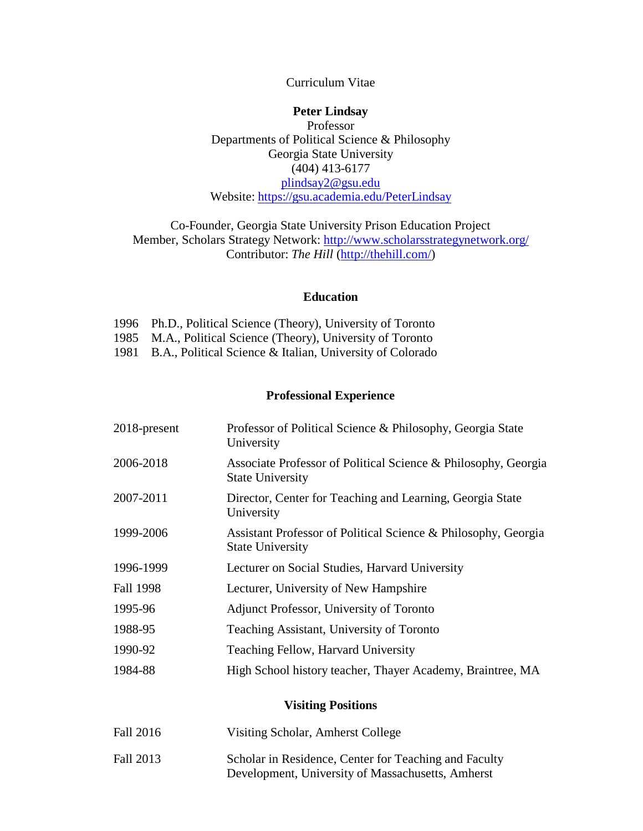#### Curriculum Vitae

#### **Peter Lindsay**

Professor Departments of Political Science & Philosophy Georgia State University (404) 413-6177 [plindsay2@gsu.edu](mailto:plindsay2@gsu.edu) Website: [https://gsu.academia.edu/PeterLindsay](https://na01.safelinks.protection.outlook.com/?url=https%3A%2F%2Fgsu.academia.edu%2FPeterLindsay&data=01%7C01%7Cplindsay2%40gsu.edu%7C54598183e92d4d3a2ca108d410cd2d6d%7C515ad73d8d5e4169895c9789dc742a70%7C0&sdata=W7ryalyOFzYvxKSex%2BNEmAYpZPrsh0MSlOOgoDsLmh0%3D&reserved=0)

### Co-Founder, Georgia State University Prison Education Project Member, Scholars Strategy Network: <http://www.scholarsstrategynetwork.org/> Contributor: *The Hill* [\(http://thehill.com/\)](https://na01.safelinks.protection.outlook.com/?url=http%3A%2F%2Fthehill.com%2F&data=01%7C01%7Cplindsay2%40gsu.edu%7C54598183e92d4d3a2ca108d410cd2d6d%7C515ad73d8d5e4169895c9789dc742a70%7C0&sdata=04MhCYoRoL0AGPcm02HJIRQoIC2wdJ0%2BD%2FLoO%2BLZrXw%3D&reserved=0)

#### **Education**

|  |  |  |  |  | 1996 Ph.D., Political Science (Theory), University of Toronto |  |  |
|--|--|--|--|--|---------------------------------------------------------------|--|--|
|--|--|--|--|--|---------------------------------------------------------------|--|--|

- 1985 M.A., Political Science (Theory), University of Toronto
- 1981 B.A., Political Science & Italian, University of Colorado

## **Professional Experience**

| 2018-present | Professor of Political Science & Philosophy, Georgia State<br>University                  |
|--------------|-------------------------------------------------------------------------------------------|
| 2006-2018    | Associate Professor of Political Science & Philosophy, Georgia<br><b>State University</b> |
| 2007-2011    | Director, Center for Teaching and Learning, Georgia State<br>University                   |
| 1999-2006    | Assistant Professor of Political Science & Philosophy, Georgia<br><b>State University</b> |
| 1996-1999    | Lecturer on Social Studies, Harvard University                                            |
| Fall 1998    | Lecturer, University of New Hampshire                                                     |
| 1995-96      | Adjunct Professor, University of Toronto                                                  |
| 1988-95      | Teaching Assistant, University of Toronto                                                 |
| 1990-92      | Teaching Fellow, Harvard University                                                       |
| 1984-88      | High School history teacher, Thayer Academy, Braintree, MA                                |

#### **Visiting Positions**

| Fall 2016 | Visiting Scholar, Amherst College                     |
|-----------|-------------------------------------------------------|
| Fall 2013 | Scholar in Residence, Center for Teaching and Faculty |
|           | Development, University of Massachusetts, Amherst     |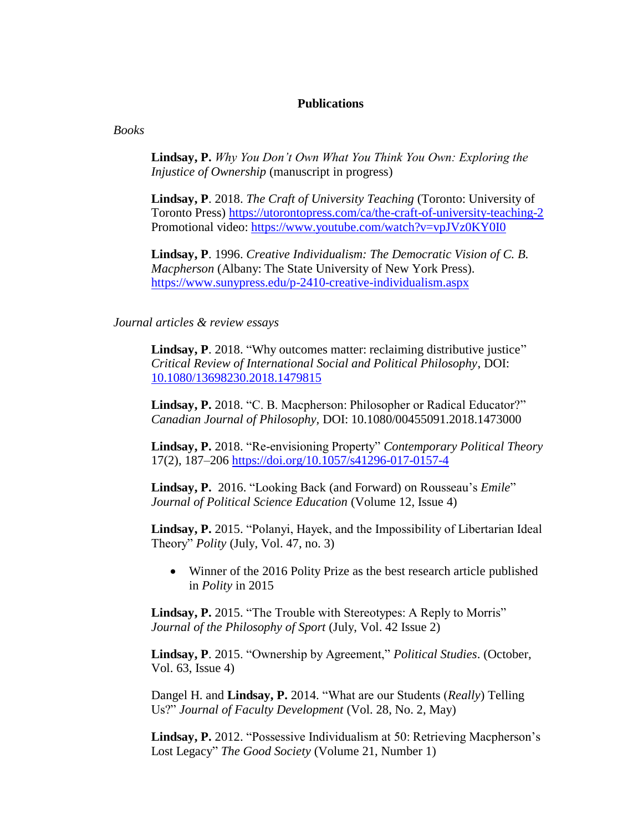#### **Publications**

*Books*

**Lindsay, P.** *Why You Don't Own What You Think You Own: Exploring the Injustice of Ownership* (manuscript in progress)

**Lindsay, P**. 2018. *The Craft of University Teaching* (Toronto: University of Toronto Press) <https://utorontopress.com/ca/the-craft-of-university-teaching-2> Promotional video:<https://www.youtube.com/watch?v=vpJVz0KY0I0>

**Lindsay, P**. 1996. *Creative Individualism: The Democratic Vision of C. B. Macpherson* (Albany: The State University of New York Press). <https://www.sunypress.edu/p-2410-creative-individualism.aspx>

#### *Journal articles & review essays*

Lindsay, P. 2018. "Why outcomes matter: reclaiming distributive justice" *Critical Review of International Social and Political Philosophy*, DOI: [10.1080/13698230.2018.1479815](https://doi.org/10.1080/13698230.2018.1479815)

**Lindsay, P.** 2018. "C. B. Macpherson: Philosopher or Radical Educator?" *Canadian Journal of Philosophy,* DOI: 10.1080/00455091.2018.1473000

**Lindsay, P.** 2018. "Re-envisioning Property" *Contemporary Political Theory*  17(2), 187–206 <https://doi.org/10.1057/s41296-017-0157-4>

**Lindsay, P.** 2016. "Looking Back (and Forward) on Rousseau's *Emile*" *Journal of Political Science Education* (Volume 12, Issue 4)

**Lindsay, P.** 2015. "Polanyi, Hayek, and the Impossibility of Libertarian Ideal Theory" *Polity* (July, Vol. 47, no. 3)

• Winner of the 2016 Polity Prize as the best research article published in *Polity* in 2015

**Lindsay, P.** 2015. "The Trouble with Stereotypes: A Reply to Morris" *Journal of the Philosophy of Sport* (July, Vol. 42 Issue 2)

**Lindsay, P**. 2015. "Ownership by Agreement," *Political Studies*. (October, Vol. 63, Issue 4)

Dangel H. and **Lindsay, P.** 2014. "What are our Students (*Really*) Telling Us?" *Journal of Faculty Development* (Vol. 28, No. 2, May)

**Lindsay, P.** 2012. "Possessive Individualism at 50: Retrieving Macpherson's Lost Legacy" *The Good Society* (Volume 21, Number 1)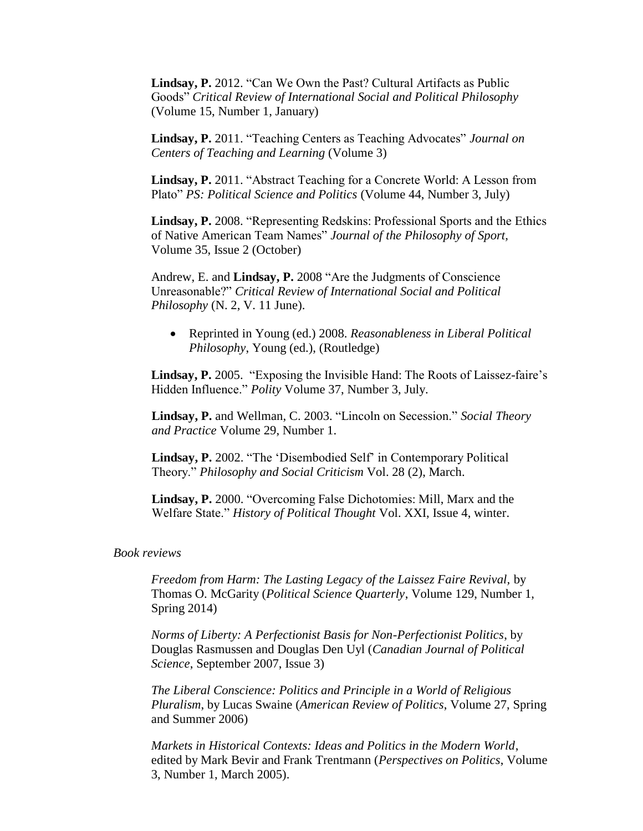**Lindsay, P.** 2012. "Can We Own the Past? Cultural Artifacts as Public Goods" *Critical Review of International Social and Political Philosophy*  (Volume 15, Number 1, January)

**Lindsay, P.** 2011. "Teaching Centers as Teaching Advocates" *Journal on Centers of Teaching and Learning* (Volume 3)

**Lindsay, P.** 2011. "Abstract Teaching for a Concrete World: A Lesson from Plato" *PS: Political Science and Politics* (Volume 44, Number 3, July)

**Lindsay, P.** 2008. "Representing Redskins: Professional Sports and the Ethics of Native American Team Names" *Journal of the Philosophy of Sport,*  Volume 35, Issue 2 (October)

Andrew, E. and **Lindsay, P.** 2008 "Are the Judgments of Conscience Unreasonable?" *Critical Review of International Social and Political Philosophy* (N. 2, V. 11 June).

• Reprinted in Young (ed.) 2008. *Reasonableness in Liberal Political Philosophy*, Young (ed.), (Routledge)

**Lindsay, P.** 2005. "Exposing the Invisible Hand: The Roots of Laissez-faire's Hidden Influence." *Polity* Volume 37, Number 3, July.

**Lindsay, P.** and Wellman, C. 2003. "Lincoln on Secession." *Social Theory and Practice* Volume 29, Number 1.

**Lindsay, P.** 2002. "The 'Disembodied Self' in Contemporary Political Theory." *Philosophy and Social Criticism* Vol. 28 (2), March.

**Lindsay, P.** 2000. "Overcoming False Dichotomies: Mill, Marx and the Welfare State." *History of Political Thought* Vol. XXI, Issue 4, winter.

#### *Book reviews*

*Freedom from Harm: The Lasting Legacy of the Laissez Faire Revival,* by Thomas O. McGarity (*Political Science Quarterly*, Volume 129, Number 1, Spring 2014)

*Norms of Liberty: A Perfectionist Basis for Non-Perfectionist Politics*, by Douglas Rasmussen and Douglas Den Uyl (*Canadian Journal of Political Science*, September 2007, Issue 3)

*The Liberal Conscience: Politics and Principle in a World of Religious Pluralism*, by Lucas Swaine (*American Review of Politics*, Volume 27, Spring and Summer 2006)

*Markets in Historical Contexts: Ideas and Politics in the Modern World*, edited by Mark Bevir and Frank Trentmann (*Perspectives on Politics*, Volume 3, Number 1, March 2005).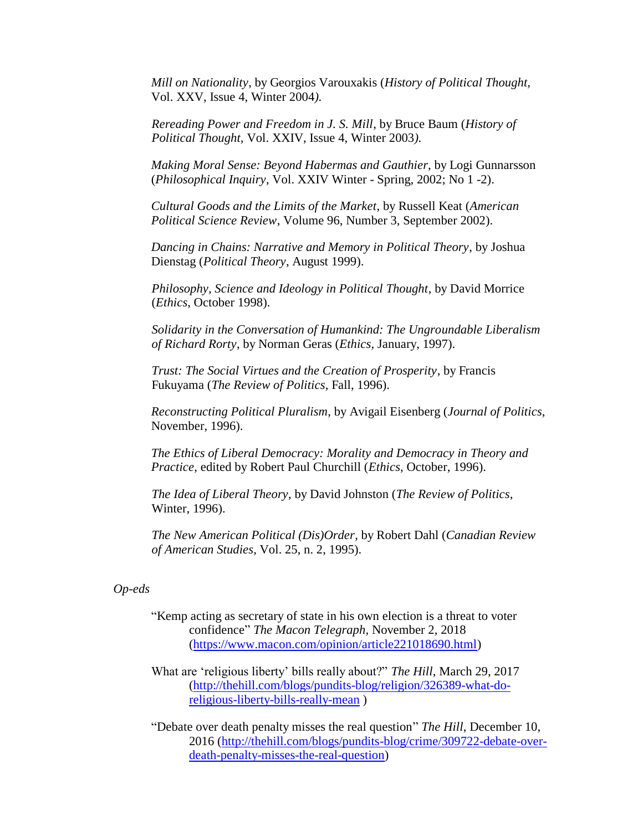*Mill on Nationality*, by Georgios Varouxakis (*History of Political Thought,*  Vol. XXV, Issue 4, Winter 2004*).*

*Rereading Power and Freedom in J. S. Mill*, by Bruce Baum (*History of Political Thought,* Vol. XXIV, Issue 4, Winter 2003*).*

*Making Moral Sense: Beyond Habermas and Gauthier*, by Logi Gunnarsson (*Philosophical Inquiry*, Vol. XXIV Winter - Spring, 2002; No 1 -2).

*Cultural Goods and the Limits of the Market*, by Russell Keat (*American Political Science Review*, Volume 96, Number 3, September 2002).

*Dancing in Chains: Narrative and Memory in Political Theory*, by Joshua Dienstag (*Political Theory*, August 1999).

*Philosophy, Science and Ideology in Political Thought*, by David Morrice (*Ethics*, October 1998).

*Solidarity in the Conversation of Humankind: The Ungroundable Liberalism of Richard Rorty*, by Norman Geras (*Ethics*, January, 1997).

*Trust: The Social Virtues and the Creation of Prosperity*, by Francis Fukuyama (*The Review of Politics*, Fall, 1996).

*Reconstructing Political Pluralism*, by Avigail Eisenberg (*Journal of Politics*, November, 1996).

*The Ethics of Liberal Democracy: Morality and Democracy in Theory and Practice*, edited by Robert Paul Churchill (*Ethics*, October, 1996).

*The Idea of Liberal Theory*, by David Johnston (*The Review of Politics*, Winter, 1996).

*The New American Political (Dis)Order*, by Robert Dahl (*Canadian Review of American Studies*, Vol. 25, n. 2, 1995).

#### *Op-eds*

- "Kemp acting as secretary of state in his own election is a threat to voter confidence" *The Macon Telegraph,* November 2, 2018 [\(https://www.macon.com/opinion/article221018690.html\)](https://www.macon.com/opinion/article221018690.html)
- What are 'religious liberty' bills really about?" *The Hill*, March 29, 2017 [\(http://thehill.com/blogs/pundits-blog/religion/326389-what-do](http://thehill.com/blogs/pundits-blog/religion/326389-what-do-religious-liberty-bills-really-mean)[religious-liberty-bills-really-mean](http://thehill.com/blogs/pundits-blog/religion/326389-what-do-religious-liberty-bills-really-mean) )
- "Debate over death penalty misses the real question" *The Hill*, December 10, 2016 [\(http://thehill.com/blogs/pundits-blog/crime/309722-debate-over](http://thehill.com/blogs/pundits-blog/crime/309722-debate-over-death-penalty-misses-the-real-question)[death-penalty-misses-the-real-question\)](http://thehill.com/blogs/pundits-blog/crime/309722-debate-over-death-penalty-misses-the-real-question)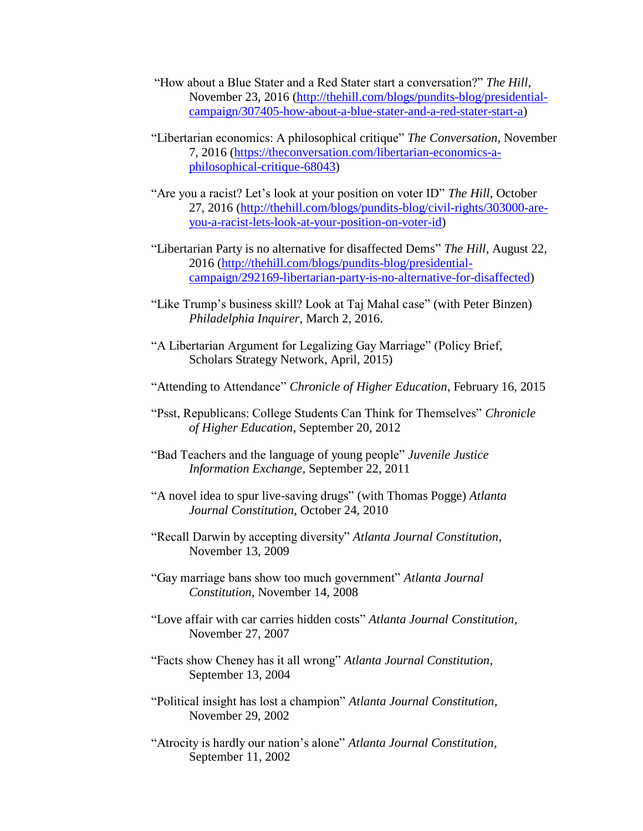- "How about a Blue Stater and a Red Stater start a conversation?" *The Hill*, November 23, 2016 [\(http://thehill.com/blogs/pundits-blog/presidential](http://thehill.com/blogs/pundits-blog/presidential-campaign/307405-how-about-a-blue-stater-and-a-red-stater-start-a)[campaign/307405-how-about-a-blue-stater-and-a-red-stater-start-a\)](http://thehill.com/blogs/pundits-blog/presidential-campaign/307405-how-about-a-blue-stater-and-a-red-stater-start-a)
- "Libertarian economics: A philosophical critique" *The Conversation*, November 7, 2016 [\(https://theconversation.com/libertarian-economics-a](https://theconversation.com/libertarian-economics-a-philosophical-critique-68043)[philosophical-critique-68043\)](https://theconversation.com/libertarian-economics-a-philosophical-critique-68043)
- "Are you a racist? Let's look at your position on voter ID" *The Hill*, October 27, 2016 [\(http://thehill.com/blogs/pundits-blog/civil-rights/303000-are](http://thehill.com/blogs/pundits-blog/civil-rights/303000-are-you-a-racist-lets-look-at-your-position-on-voter-id)[you-a-racist-lets-look-at-your-position-on-voter-id\)](http://thehill.com/blogs/pundits-blog/civil-rights/303000-are-you-a-racist-lets-look-at-your-position-on-voter-id)
- "Libertarian Party is no alternative for disaffected Dems" *The Hill*, August 22, 2016 [\(http://thehill.com/blogs/pundits-blog/presidential](http://thehill.com/blogs/pundits-blog/presidential-campaign/292169-libertarian-party-is-no-alternative-for-disaffected)[campaign/292169-libertarian-party-is-no-alternative-for-disaffected\)](http://thehill.com/blogs/pundits-blog/presidential-campaign/292169-libertarian-party-is-no-alternative-for-disaffected)
- "Like Trump's business skill? Look at Taj Mahal case" (with Peter Binzen) *Philadelphia Inquirer*, March 2, 2016.
- "A Libertarian Argument for Legalizing Gay Marriage" (Policy Brief, Scholars Strategy Network, April, 2015)
- "Attending to Attendance" *Chronicle of Higher Education*, February 16, 2015
- "Psst, Republicans: College Students Can Think for Themselves" *Chronicle of Higher Education*, September 20, 2012
- "Bad Teachers and the language of young people" *Juvenile Justice Information Exchange,* September 22, 2011
- "A novel idea to spur live-saving drugs" (with Thomas Pogge) *Atlanta Journal Constitution,* October 24, 2010
- "Recall Darwin by accepting diversity" *Atlanta Journal Constitution,* November 13, 2009
- "Gay marriage bans show too much government" *Atlanta Journal Constitution,* November 14, 2008
- ["Love affair with car carries hidden costs"](http://nl.newsbank.com/nojavascript.html) *Atlanta Journal Constitution,* November 27, 2007
- "Facts show Cheney has it all wrong" *Atlanta Journal Constitution,* September 13, 2004
- "Political insight has lost a champion" *Atlanta Journal Constitution,* November 29, 2002
- "Atrocity is hardly our nation's alone" *Atlanta Journal Constitution,* September 11, 2002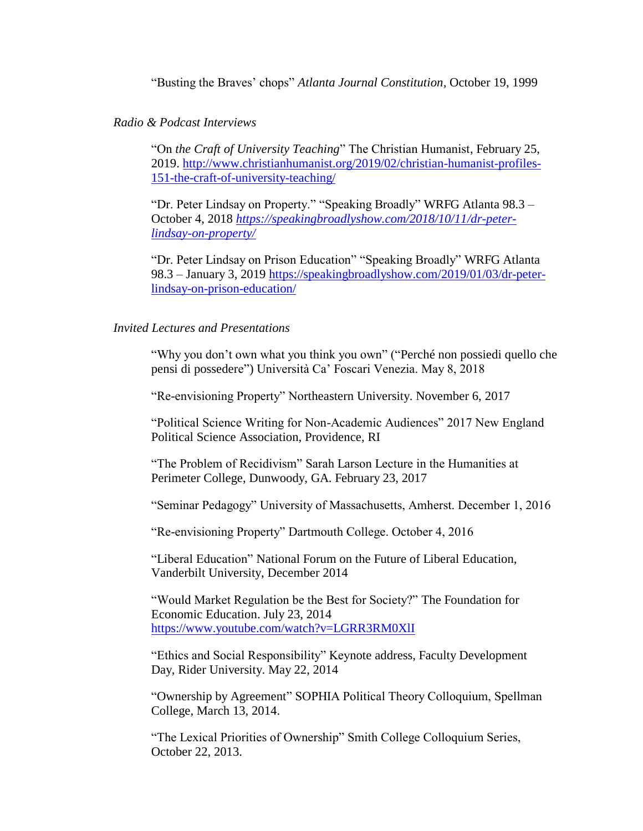"Busting the Braves' chops" *Atlanta Journal Constitution,* October 19, 1999

### *Radio & Podcast Interviews*

"On *the Craft of University Teaching*" The Christian Humanist, February 25, 2019. [http://www.christianhumanist.org/2019/02/christian-humanist-profiles-](http://www.christianhumanist.org/2019/02/christian-humanist-profiles-151-the-craft-of-university-teaching/)[151-the-craft-of-university-teaching/](http://www.christianhumanist.org/2019/02/christian-humanist-profiles-151-the-craft-of-university-teaching/)

"Dr. Peter Lindsay on Property." "Speaking Broadly" WRFG Atlanta 98.3 *–* October 4, 2018 *[https://speakingbroadlyshow.com/2018/10/11/dr-peter](https://speakingbroadlyshow.com/2018/10/11/dr-peter-lindsay-on-property/)[lindsay-on-property/](https://speakingbroadlyshow.com/2018/10/11/dr-peter-lindsay-on-property/)*

"Dr. Peter Lindsay on Prison Education" "Speaking Broadly" WRFG Atlanta 98.3 *–* January 3, 2019 [https://speakingbroadlyshow.com/2019/01/03/dr-peter](https://speakingbroadlyshow.com/2019/01/03/dr-peter-lindsay-on-prison-education/)[lindsay-on-prison-education/](https://speakingbroadlyshow.com/2019/01/03/dr-peter-lindsay-on-prison-education/)

#### *Invited Lectures and Presentations*

"Why you don't own what you think you own" ("Perché non possiedi quello che pensi di possedere") Università Ca' Foscari Venezia. May 8, 2018

"Re-envisioning Property" Northeastern University. November 6, 2017

"Political Science Writing for Non-Academic Audiences" 2017 New England Political Science Association, Providence, RI

"The Problem of Recidivism" Sarah Larson Lecture in the Humanities at Perimeter College, Dunwoody, GA. February 23, 2017

"Seminar Pedagogy" University of Massachusetts, Amherst. December 1, 2016

"Re-envisioning Property" Dartmouth College. October 4, 2016

"Liberal Education" National Forum on the Future of Liberal Education, Vanderbilt University, December 2014

"Would Market Regulation be the Best for Society?" The Foundation for Economic Education. July 23, 2014 <https://www.youtube.com/watch?v=LGRR3RM0XlI>

"Ethics and Social Responsibility" Keynote address, Faculty Development Day, Rider University. May 22, 2014

"Ownership by Agreement" SOPHIA Political Theory Colloquium, Spellman College, March 13, 2014.

"The Lexical Priorities of Ownership" Smith College Colloquium Series, October 22, 2013.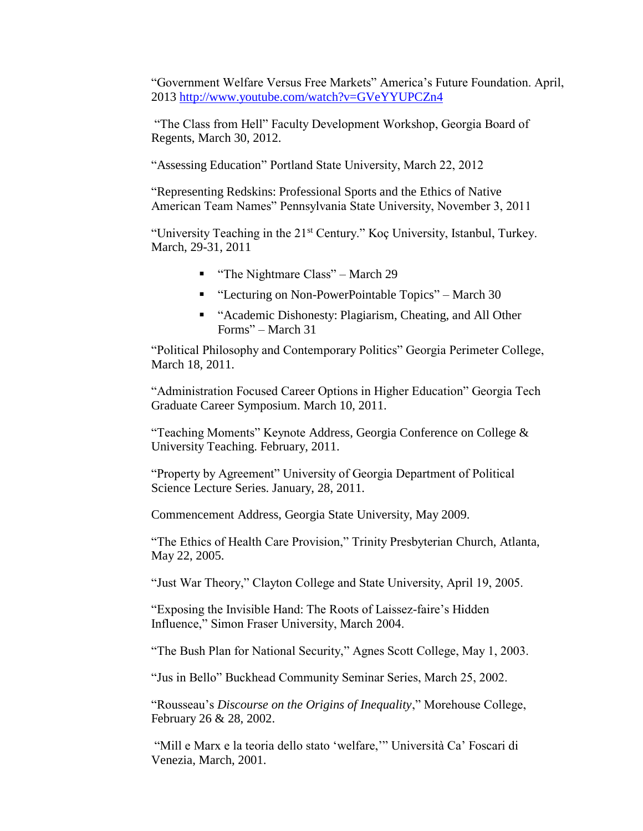"Government Welfare Versus Free Markets" America's Future Foundation. April, 2013<http://www.youtube.com/watch?v=GVeYYUPCZn4>

"The Class from Hell" Faculty Development Workshop, Georgia Board of Regents, March 30, 2012.

"Assessing Education" Portland State University, March 22, 2012

"Representing Redskins: Professional Sports and the Ethics of Native American Team Names" Pennsylvania State University, November 3, 2011

"University Teaching in the 21<sup>st</sup> Century." Koç University, Istanbul, Turkey. March, 29-31, 2011

- "The Nightmare Class" March 29
- "Lecturing on Non-PowerPointable Topics" March 30
- "Academic Dishonesty: Plagiarism, Cheating, and All Other Forms" – March 31

"Political Philosophy and Contemporary Politics" Georgia Perimeter College, March 18, 2011.

"Administration Focused Career Options in Higher Education" Georgia Tech Graduate Career Symposium. March 10, 2011.

"Teaching Moments" Keynote Address, Georgia Conference on College & University Teaching. February, 2011.

"Property by Agreement" University of Georgia Department of Political Science Lecture Series. January, 28, 2011.

Commencement Address, Georgia State University, May 2009.

"The Ethics of Health Care Provision," Trinity Presbyterian Church, Atlanta, May 22, 2005.

"Just War Theory," Clayton College and State University, April 19, 2005.

"Exposing the Invisible Hand: The Roots of Laissez-faire's Hidden Influence," Simon Fraser University, March 2004.

"The Bush Plan for National Security," Agnes Scott College, May 1, 2003.

"Jus in Bello" Buckhead Community Seminar Series, March 25, 2002.

"Rousseau's *Discourse on the Origins of Inequality*," Morehouse College, February 26 & 28, 2002.

"Mill e Marx e la teoria dello stato 'welfare,'" Università Ca' Foscari di Venezia, March, 2001.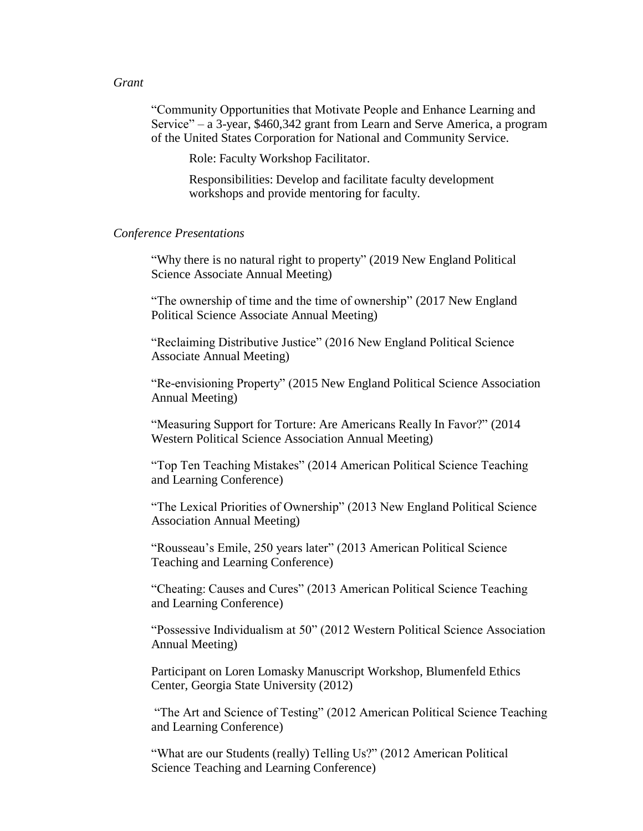#### *Grant*

"Community Opportunities that Motivate People and Enhance Learning and Service" – a 3-year, \$460,342 grant from Learn and Serve America, a program of the United States Corporation for National and Community Service.

Role: Faculty Workshop Facilitator.

Responsibilities: Develop and facilitate faculty development workshops and provide mentoring for faculty.

#### *Conference Presentations*

"Why there is no natural right to property" (2019 New England Political Science Associate Annual Meeting)

"The ownership of time and the time of ownership" (2017 New England Political Science Associate Annual Meeting)

"Reclaiming Distributive Justice" (2016 New England Political Science Associate Annual Meeting)

"Re-envisioning Property" (2015 New England Political Science Association Annual Meeting)

"Measuring Support for Torture: Are Americans Really In Favor?" (2014 Western Political Science Association Annual Meeting)

"Top Ten Teaching Mistakes" (2014 American Political Science Teaching and Learning Conference)

"The Lexical Priorities of Ownership" (2013 New England Political Science Association Annual Meeting)

"Rousseau's Emile, 250 years later" (2013 American Political Science Teaching and Learning Conference)

"Cheating: Causes and Cures" (2013 American Political Science Teaching and Learning Conference)

"Possessive Individualism at 50" (2012 Western Political Science Association Annual Meeting)

Participant on Loren Lomasky Manuscript Workshop, Blumenfeld Ethics Center, Georgia State University (2012)

"The Art and Science of Testing" (2012 American Political Science Teaching and Learning Conference)

"What are our Students (really) Telling Us?" (2012 American Political Science Teaching and Learning Conference)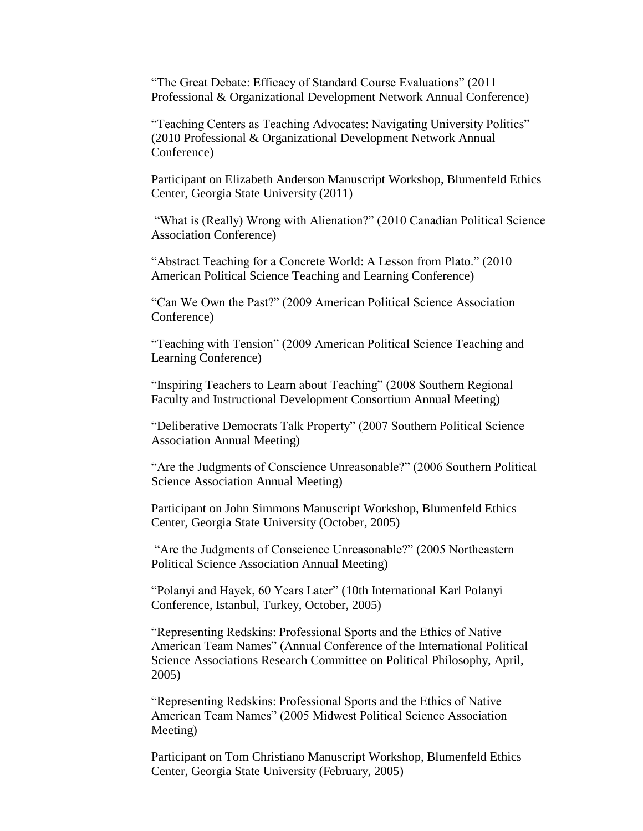"The Great Debate: Efficacy of Standard Course Evaluations" (2011 Professional & Organizational Development Network Annual Conference)

"Teaching Centers as Teaching Advocates: Navigating University Politics" (2010 Professional & Organizational Development Network Annual Conference)

Participant on Elizabeth Anderson Manuscript Workshop, Blumenfeld Ethics Center, Georgia State University (2011)

"What is (Really) Wrong with Alienation?" (2010 Canadian Political Science Association Conference)

"Abstract Teaching for a Concrete World: A Lesson from Plato." (2010 American Political Science Teaching and Learning Conference)

"Can We Own the Past?" (2009 American Political Science Association Conference)

"Teaching with Tension" (2009 American Political Science Teaching and Learning Conference)

"Inspiring Teachers to Learn about Teaching" (2008 Southern Regional Faculty and Instructional Development Consortium Annual Meeting)

"Deliberative Democrats Talk Property" (2007 Southern Political Science Association Annual Meeting)

"Are the Judgments of Conscience Unreasonable?" (2006 Southern Political Science Association Annual Meeting)

Participant on John Simmons Manuscript Workshop, Blumenfeld Ethics Center, Georgia State University (October, 2005)

"Are the Judgments of Conscience Unreasonable?" (2005 Northeastern Political Science Association Annual Meeting)

"Polanyi and Hayek, 60 Years Later" (10th International Karl Polanyi Conference, Istanbul, Turkey, October, 2005)

"Representing Redskins: Professional Sports and the Ethics of Native American Team Names" (Annual Conference of the International Political Science Associations Research Committee on Political Philosophy, April, 2005)

"Representing Redskins: Professional Sports and the Ethics of Native American Team Names" (2005 Midwest Political Science Association Meeting)

Participant on Tom Christiano Manuscript Workshop, Blumenfeld Ethics Center, Georgia State University (February, 2005)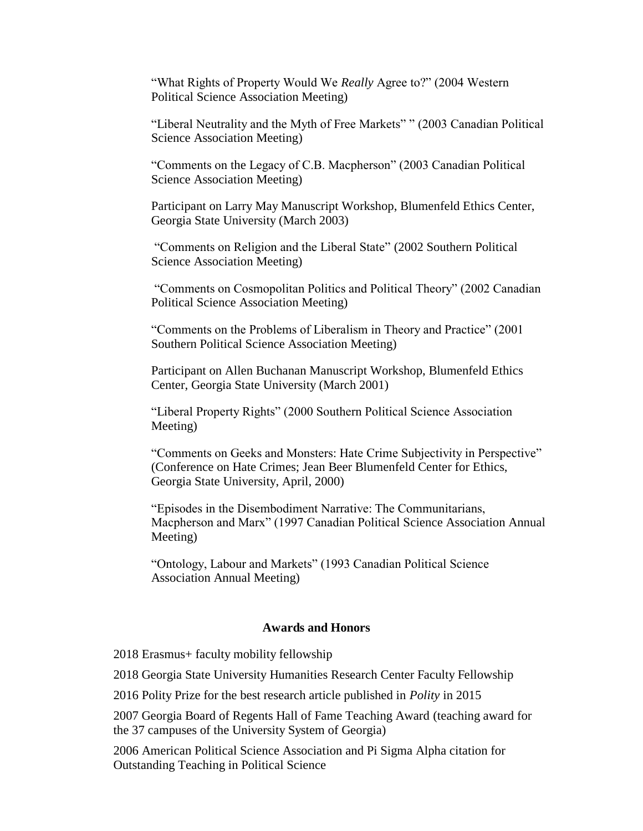"What Rights of Property Would We *Really* Agree to?" (2004 Western Political Science Association Meeting)

"Liberal Neutrality and the Myth of Free Markets" " (2003 Canadian Political Science Association Meeting)

"Comments on the Legacy of C.B. Macpherson" (2003 Canadian Political Science Association Meeting)

Participant on Larry May Manuscript Workshop, Blumenfeld Ethics Center, Georgia State University (March 2003)

"Comments on Religion and the Liberal State" (2002 Southern Political Science Association Meeting)

"Comments on Cosmopolitan Politics and Political Theory" (2002 Canadian Political Science Association Meeting)

"Comments on the Problems of Liberalism in Theory and Practice" (2001 Southern Political Science Association Meeting)

Participant on Allen Buchanan Manuscript Workshop, Blumenfeld Ethics Center, Georgia State University (March 2001)

"Liberal Property Rights" (2000 Southern Political Science Association Meeting)

"Comments on Geeks and Monsters: Hate Crime Subjectivity in Perspective" (Conference on Hate Crimes; Jean Beer Blumenfeld Center for Ethics, Georgia State University, April, 2000)

"Episodes in the Disembodiment Narrative: The Communitarians, Macpherson and Marx" (1997 Canadian Political Science Association Annual Meeting)

"Ontology, Labour and Markets" (1993 Canadian Political Science Association Annual Meeting)

#### **Awards and Honors**

2018 Erasmus+ faculty mobility fellowship

2018 Georgia State University Humanities Research Center Faculty Fellowship

2016 Polity Prize for the best research article published in *Polity* in 2015

2007 Georgia Board of Regents Hall of Fame Teaching Award (teaching award for the 37 campuses of the University System of Georgia)

2006 American Political Science Association and Pi Sigma Alpha citation for Outstanding Teaching in Political Science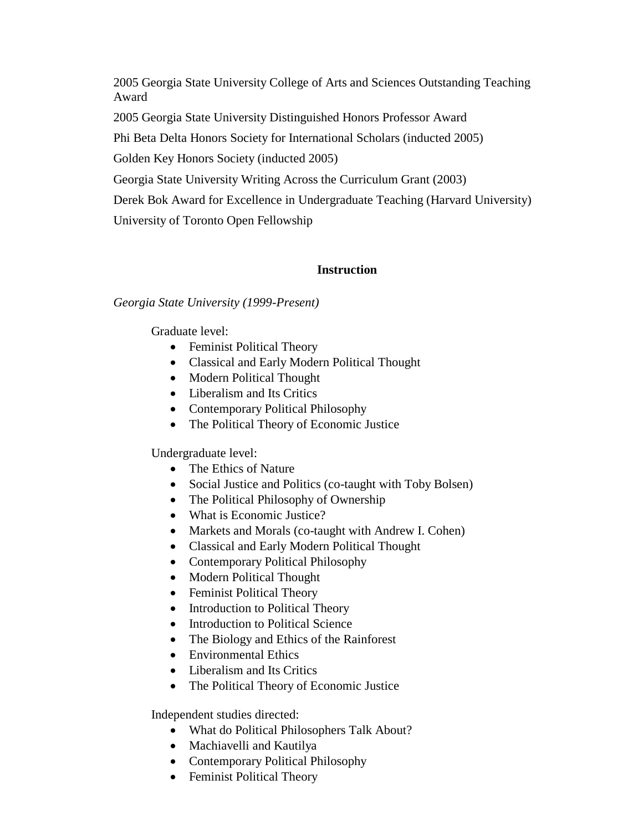2005 Georgia State University College of Arts and Sciences Outstanding Teaching Award

2005 Georgia State University Distinguished Honors Professor Award

Phi Beta Delta Honors Society for International Scholars (inducted 2005)

Golden Key Honors Society (inducted 2005)

Georgia State University Writing Across the Curriculum Grant (2003)

Derek Bok Award for Excellence in Undergraduate Teaching (Harvard University)

University of Toronto Open Fellowship

## **Instruction**

## *Georgia State University (1999-Present)*

Graduate level:

- Feminist Political Theory
- Classical and Early Modern Political Thought
- Modern Political Thought
- Liberalism and Its Critics
- Contemporary Political Philosophy
- The Political Theory of Economic Justice

Undergraduate level:

- The Ethics of Nature
- Social Justice and Politics (co-taught with Toby Bolsen)
- The Political Philosophy of Ownership
- What is Economic Justice?
- Markets and Morals (co-taught with Andrew I. Cohen)
- Classical and Early Modern Political Thought
- Contemporary Political Philosophy
- Modern Political Thought
- Feminist Political Theory
- Introduction to Political Theory
- Introduction to Political Science
- The Biology and Ethics of the Rainforest
- Environmental Ethics
- Liberalism and Its Critics
- The Political Theory of Economic Justice

Independent studies directed:

- What do Political Philosophers Talk About?
- Machiavelli and Kautilya
- Contemporary Political Philosophy
- Feminist Political Theory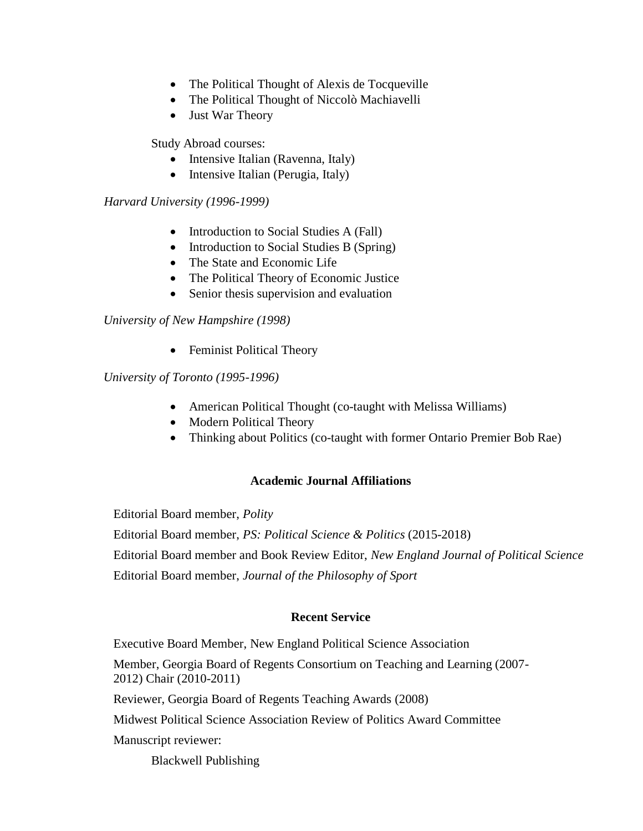- The Political Thought of Alexis de Tocqueville
- The Political Thought of Niccolò Machiavelli
- Just War Theory

Study Abroad courses:

- Intensive Italian (Ravenna, Italy)
- Intensive Italian (Perugia, Italy)

## *Harvard University (1996-1999)*

- Introduction to Social Studies A (Fall)
- Introduction to Social Studies B (Spring)
- The State and Economic Life
- The Political Theory of Economic Justice
- Senior thesis supervision and evaluation

*University of New Hampshire (1998)*

• Feminist Political Theory

*University of Toronto (1995-1996)*

- American Political Thought (co-taught with Melissa Williams)
- Modern Political Theory
- Thinking about Politics (co-taught with former Ontario Premier Bob Rae)

## **Academic Journal Affiliations**

Editorial Board member, *Polity* Editorial Board member, *PS: Political Science & Politics* (2015-2018) Editorial Board member and Book Review Editor, *New England Journal of Political Science* Editorial Board member, *Journal of the Philosophy of Sport*

## **Recent Service**

Executive Board Member, New England Political Science Association

Member, Georgia Board of Regents Consortium on Teaching and Learning (2007- 2012) Chair (2010-2011)

Reviewer, Georgia Board of Regents Teaching Awards (2008)

Midwest Political Science Association Review of Politics Award Committee

Manuscript reviewer:

Blackwell Publishing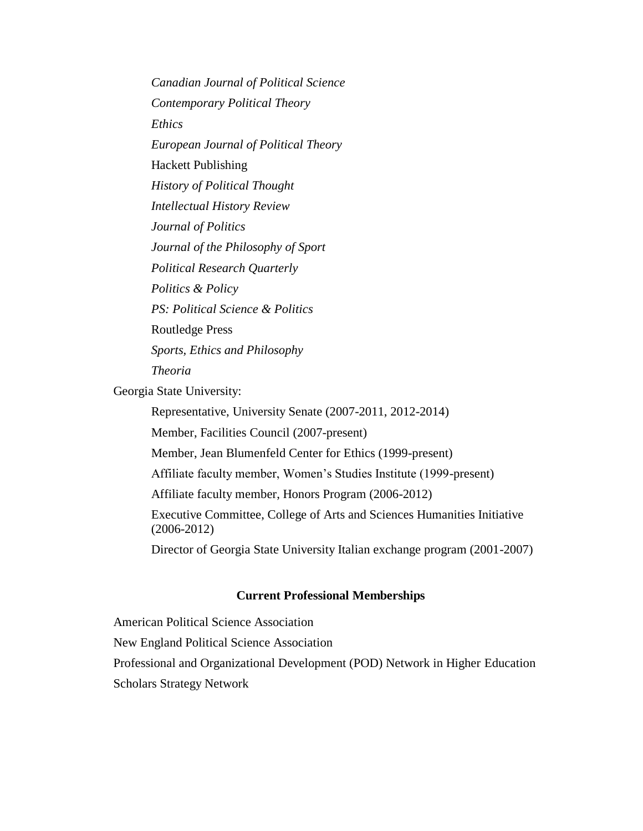*Canadian Journal of Political Science Contemporary Political Theory Ethics European Journal of Political Theory* Hackett Publishing *History of Political Thought Intellectual History Review Journal of Politics Journal of the Philosophy of Sport Political Research Quarterly Politics & Policy PS: Political Science & Politics* Routledge Press *Sports, Ethics and Philosophy Theoria*

Georgia State University:

Representative, University Senate (2007-2011, 2012-2014)

Member, Facilities Council (2007-present)

Member, Jean Blumenfeld Center for Ethics (1999-present)

Affiliate faculty member, Women's Studies Institute (1999-present)

Affiliate faculty member, Honors Program (2006-2012)

Executive Committee, College of Arts and Sciences Humanities Initiative (2006-2012)

Director of Georgia State University Italian exchange program (2001-2007)

#### **Current Professional Memberships**

American Political Science Association New England Political Science Association Professional and Organizational Development (POD) Network in Higher Education Scholars Strategy Network